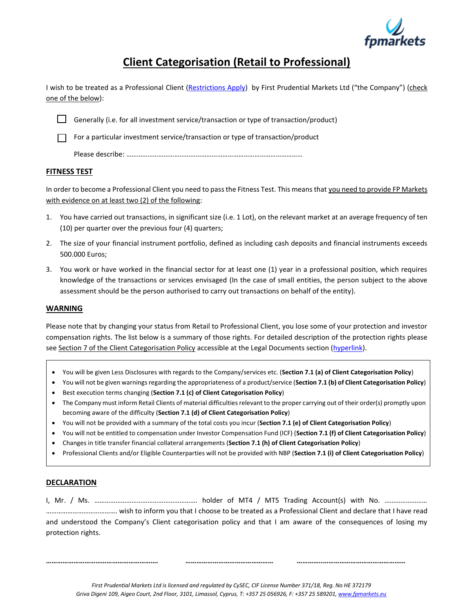

## **Client Categorisation (Retail to Professional)**

I wish to be treated as a Professional Client [\(Restrictions](https://www.fpmarkets.eu/leverage) Apply) by First Prudential Markets Ltd ("the Company") (check one of the below):

Generally (i.e. for all investment service/transaction or type of transaction/product)

 $\Box$  For a particular investment service/transaction or type of transaction/product

Please describe: ………………………………………………………………………………………

## **FITNESS TEST**

In order to become a Professional Client you need to pass the Fitness Test. This means that you need to provide FP Markets with evidence on at least two (2) of the following:

- 1. You have carried out transactions, in significant size (i.e. 1 Lot), on the relevant market at an average frequency of ten (10) per quarter over the previous four (4) quarters;
- 2. The size of your financial instrument portfolio, defined as including cash deposits and financial instruments exceeds 500.000 Euros;
- 3. You work or have worked in the financial sector for at least one (1) year in a professional position, which requires knowledge of the transactions or services envisaged (In the case of small entities, the person subject to the above assessment should be the person authorised to carry out transactions on behalf of the entity).

## **WARNING**

Please note that by changing your status from Retail to Professional Client, you lose some of your protection and investor compensation rights. The list below is a summary of those rights. For detailed description of the protection rights please see Section 7 of the Client Categorisation Policy accessible at the Legal Documents section [\(hyperlink\)](https://www.fpmarkets.eu/wp-content/uploads/2019/12/20191129-FPMCY-Client-Categorisation-Policy.pdf).

- You will be given Less Disclosures with regards to the Company/services etc. (**Section 7.1 (a) of Client Categorisation Policy**)
- You will not be given warnings regarding the appropriateness of a product/service (**Section 7.1 (b) of Client Categorisation Policy**) • Best execution terms changing (**Section 7.1 (c) of Client Categorisation Policy**)
- The Company must inform Retail Clients of material difficulties relevant to the proper carrying out of their order(s) promptly upon becoming aware of the difficulty (**Section 7.1 (d) of Client Categorisation Policy**)
- You will not be provided with a summary of the total costs you incur (**Section 7.1 (e) of Client Categorisation Policy**)
- You will not be entitled to compensation under Investor Compensation Fund (ICF) (**Section 7.1 (f) of Client Categorisation Policy**)
- Changes in title transfer financial collateral arrangements (**Section 7.1 (h) of Client Categorisation Policy**)
- Professional Clients and/or Eligible Counterparties will not be provided with NBP (**Section 7.1 (i) of Client Categorisation Policy**)

## **DECLARATION**

I, Mr. / Ms. …………………………………………………. holder of MT4 / MT5 Trading Account(s) with No. …………………… …………………………………. wish to inform you that I choose to be treated as a Professional Client and declare that I have read and understood the Company's Client categorisation policy and that I am aware of the consequences of losing my protection rights.

**……………………………………………………. ………………………………………… …………..………………………………………**